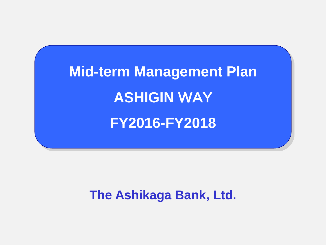**Mid-term Management Plan ASHIGIN** WAY **FY2016-FY2018**

**The Ashikaga Bank, Ltd.**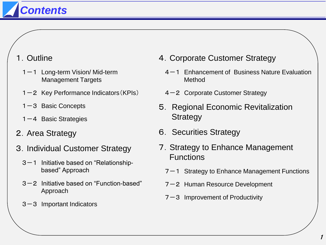# *Contents*

- 1.Outline
	- $1-1$  Long-term Vision/ Mid-term Management Targets
	- $1-2$  Key Performance Indicators (KPIs)
	- $1-3$  Basic Concepts
	- 1-4 Basic Strategies
- 2.Area Strategy
- 3.Individual Customer Strategy
	- $3-1$  Initiative based on "Relationshipbased" Approach
	- 3-2 Initiative based on "Function-based" Approach
	- $3-3$  Important Indicators
- 4.Corporate Customer Strategy
	- 4-1 Enhancement of Business Nature Evaluation Method
	- 4-2 Corporate Customer Strategy
- 5. Regional Economic Revitalization Strategy
- 6. Securities Strategy
- 7.Strategy to Enhance Management **Functions** 
	- $7-1$  Strategy to Enhance Management Functions
	- 7-2 Human Resource Development
	- $7-3$  Improvement of Productivity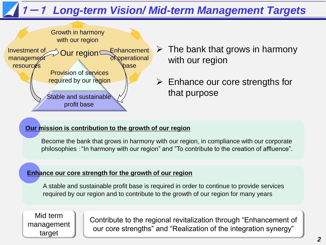# 1-1 *Long-term Vision/ Mid-term Management Targets*



- $\triangleright$  The bank that grows in harmony with our region
- $\triangleright$  Enhance our core strengths for that purpose

#### **Our mission is contribution to the growth of our region**

Become the bank that grows in harmony with our region, in compliance with our corporate philosophies :"In harmony with our region" and "To contribute to the creation of affluence".

#### **Enhance our core strength for the growth of our region**

A stable and sustainable profit base is required in order to continue to provide services required by our region and to contribute to the growth of our region for many years

Mid term management target

Contribute to the regional revitalization through "Enhancement of our core strengths" and "Realization of the integration synergy"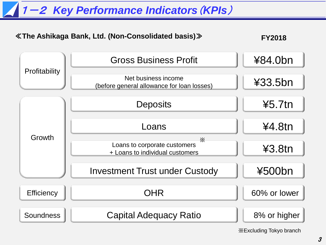# 1-2 *Key Performance Indicators*(*KPIs*)



※Excluding Tokyo branch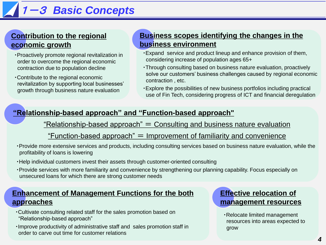# 1-3 *Basic Concepts*

#### **Contribution to the regional economic growth**

- ・Proactively promote regional revitalization in order to overcome the regional economic contraction due to population decline
- ・Contribute to the regional economic revitalization by supporting local businesses' growth through business nature evaluation

### **Business scopes identifying the changes in the business environment**

- ・Expand service and product lineup and enhance provision of them, considering increase of population ages 65+
- ・Through consulting based on business nature evaluation, proactively solve our customers' business challenges caused by regional economic contraction , etc.
- ・Explore the possibilities of new business portfolios including practical use of Fin Tech, considering progress of ICT and financial deregulation

### **"Relationship-based approach" and "Function-based approach"**

#### $"Relationship-based approach" = Consulting and business nature evaluation"$

#### "Function-based approach"  $=$  Improvement of familiarity and convenience

- ・Provide more extensive services and products, including consulting services based on business nature evaluation, while the profitability of loans is lowering
- ・Help individual customers invest their assets through customer-oriented consulting
- ・Provide services with more familiarity and convenience by strengthening our planning capability. Focus especially on unsecured loans for which there are strong customer needs

#### **Enhancement of Management Functions for the both approaches**

- ・Cultivate consulting related staff for the sales promotion based on "Relationship-based approach"
- ・Improve productivity of administrative staff and sales promotion staff in order to carve out time for customer relations

#### **Effective relocation of management resources**

・Relocate limited management resources into areas expected to grow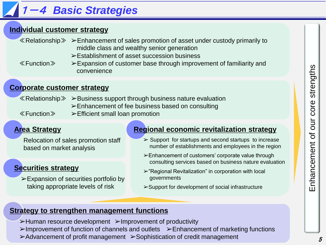# 1-4 *Basic Strategies*

### **Individual customer strategy**

- ≪Relationship≫ ➢Enhancement of sales promotion of asset under custody primarily to middle class and wealthy senior generation
	- ➢Establishment of asset succession business

≪Function≫ ➢Expansion of customer base through improvement of familiarity and convenience

### **Corporate customer strategy**

≪Relationship≫ ➢Business support through business nature evaluation

- ➢Enhancement of fee business based on consulting
- 
- ≪Function≫ ➢Efficient small loan promotion

### **Area Strategy**

Relocation of sales promotion staff based on market analysis

### **Securities strategy**

➢Expansion of securities portfolio by taking appropriate levels of risk

### **Regional economic revitalization strategy**

- $\triangleright$  Support for startups and second startups to increase number of establishments and employees in the region
- ➢Enhancement of customers' corporate value through consulting services based on business nature evaluation
- ➢"Regional Revitalization" in corporation with local governments
- ➢Support for development of social infrastructure

### **Strategy to strengthen management functions**

- ➢Human resource development ➢Improvement of productivity
- ➢Improvement of function of channels and outlets ➢Enhancement of marketing functions
- ➢Advancement of profit management ➢Sophistication of credit management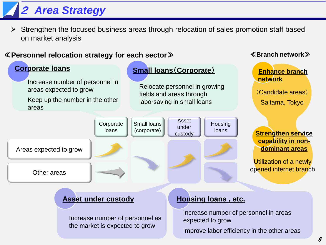# <sup>2</sup>*Area Strategy*

 $\triangleright$  Strengthen the focused business areas through relocation of sales promotion staff based on market analysis

#### ≪**Personnel relocation strategy for each sector**≫ ≪**Branch network**≫



### **Asset under custody**

Increase number of personnel as the market is expected to grow

#### **Housing loans , etc.**

Increase number of personnel in areas expected to grow Improve labor efficiency in the other areas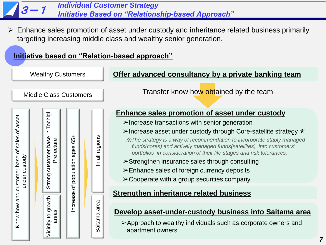

Vicinity to growth areas

Vicinity to growth

 $\overline{\sigma}$ 

Increase

Saitama area

➢Cooperate with a group securities company

#### **Strengthen inheritance related business**

#### **Develop asset-under-custody business into Saitama area**

➢Approach to wealthy individuals such as corporate owners and apartment owners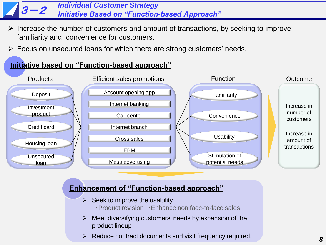#### $13 - 2$ *Individual Customer Strategy Initiative Based on "Function-based Approach"*

- Increase the number of customers and amount of transactions, by seeking to improve familiarity and convenience for customers.
- $\triangleright$  Focus on unsecured loans for which there are strong customers' needs.

#### **Initiative based on "Function-based approach"**



### **Enhancement of "Function-based approach"**

- $\triangleright$  Seek to improve the usability
	- ・Product revision ・Enhance non face-to-face sales
- $\triangleright$  Meet diversifying customers' needs by expansion of the product lineup
- $\triangleright$  Reduce contract documents and visit frequency required.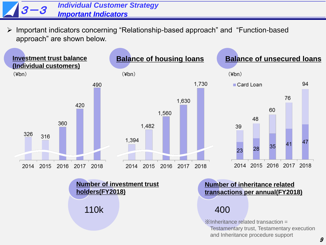#### $13 - 3$ *Individual Customer Strategy Important Indicators*

 Important indicators concerning "Relationship-based approach" and "Function-based approach" are shown below.

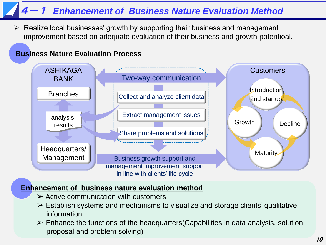# **Enhancement of Business Nature Evaluation Method**

 $\triangleright$  Realize local businesses' growth by supporting their business and management improvement based on adequate evaluation of their business and growth potentioal.

### **Business Nature Evaluation Process**



#### **Enhancement of business nature evaluation method**

- $\triangleright$  Active communication with customers
- $\triangleright$  Establish systems and mechanisms to visualize and storage clients' qualitative information
- $\triangleright$  Enhance the functions of the headquarters (Capabilities in data analysis, solution proposal and problem solving)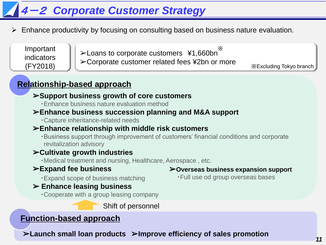# 4-2 *Corporate Customer Strategy*

Enhance productivity by focusing on consulting based on business nature evaluation.

Important indicators (FY2018)

➢Loans to corporate customers ¥1,660bn ➢Corporate customer related fees ¥2bn or more ※

※Excluding Tokyo branch

## **Relationship-based approach**

### ➢**Support business growth of core customers**

・Enhance business nature evaluation method

### ➢**Enhance business succession planning and M&A support**

・Capture inheritance-related needs

### ➢**Enhance relationship with middle risk customers**

・Business support through improvement of customers' financial conditions and corporate revitalization advisory

### ➢**Cultivate growth industries**

・Medical treatment and nursing, Healthcare, Aerospace , etc.

### ➢**Expand fee business**

・Expand scope of business matching

#### ➢ **Enhance leasing business**

・Cooperate with a group leasing company

Shift of personnel

### **Function-based approach**

➢**Launch small loan products** ➢**Improve efficiency of sales promotion**

#### ➢**Overseas business expansion support**

・Full use od group overseas bases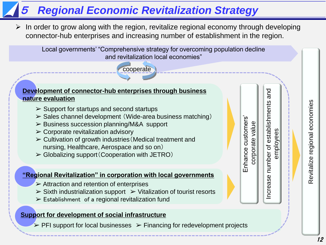# <sup>5</sup>*Regional Economic Revitalization Strategy*

cooperate

 In order to grow along with the region, revitalize regional economy through developing connector-hub enterprises and increasing number of establishment in the region.

Local governments' "Comprehensive strategy for overcoming population decline and revitalization local economies"

#### **Development of connector-hub enterprises through business nature evaluation**

- $\triangleright$  Support for startups and second startups
- ➢ Sales channel development (Wide-area business matching)
- ➢ Business succession planning/M&A support
- $\triangleright$  Corporate revitalization advisory
- $\triangleright$  Cultivation of growth industries (Medical treatment and nursing, Healthcare, Aerospace and so on)
- $\triangleright$  Globalizing support (Cooperation with JETRO)

#### **"Regional Revitalization" in corporation with local governments**

- $\triangleright$  Attraction and retention of enterprises
- $\triangleright$  Sixth industrialization support  $\triangleright$  Vitalization of tourist resorts
- $\triangleright$  Establishment of a regional revitalization fund

#### **Support for development of social infrastructure**

 $\triangleright$  PFI support for local businesses  $\triangleright$  Financing for redevelopment projects

Increase number of establishments and establishments corporate value employees Increase number of

and

Enhance customers'

Enhance customers corporate value Revitalize regional economies Revitalize regional economies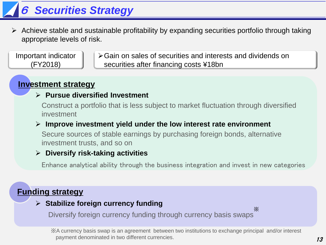# 6 *Securities Strategy*

 $\triangleright$  Achieve stable and sustainable profitability by expanding securities portfolio through taking appropriate levels of risk.

Important indicator (FY2018)

Gain on sales of securities and interests and dividends on securities after financing costs ¥18bn

## **Investment strategy**

### **Pursue diversified Investment**

Construct a portfolio that is less subject to market fluctuation through diversified investment

#### **Improve investment yield under the low interest rate environment**

Secure sources of stable earnings by purchasing foreign bonds, alternative investment trusts, and so on

### **Diversify risk-taking activities**

Enhance analytical ability through the business integration and invest in new categories

### **Funding strategy**

### **Stabilize foreign currency funding**

Diversify foreign currency funding through currency basis swaps ※

※A currency basis swap is an agreement between two institutions to exchange principal and/or interest payment denominated in two different currencies.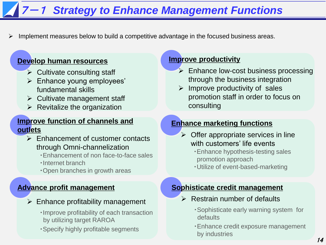# **7-1 Strategy to Enhance Management Functions**

Implement measures below to build a competitive advantage in the focused business areas.

#### **Develop human resources**

- $\triangleright$  Cultivate consulting staff
- $\triangleright$  Enhance young employees' fundamental skills
- $\triangleright$  Cultivate management staff
- $\triangleright$  Revitalize the organization

#### **Improve function of channels and outlets**

- $\triangleright$  Enhancement of customer contacts through Omni-channelization
	- ・Enhancement of non face-to-face sales
	- ・Internet branch
	- ・Open branches in growth areas

#### **Advance profit management**

- $\triangleright$  Enhance profitability management
	- ・Improve profitability of each transaction by utilizing target RAROA
	- ・Specify highly profitable segments

#### **Improve productivity**

- Enhance low-cost business processing through the business integration
- $\triangleright$  Improve productivity of sales promotion staff in order to focus on consulting

#### **Enhance marketing functions**

- $\triangleright$  Offer appropriate services in line with customers' life events
	- ・Enhance hypothesis-testing sales promotion approach
	- ・Utilize of event-based-marketing

#### **Sophisticate credit management**

- $\triangleright$  Restrain number of defaults
	- ・Sophisticate early warning system for defaults
	- ・Enhance credit exposure management by industries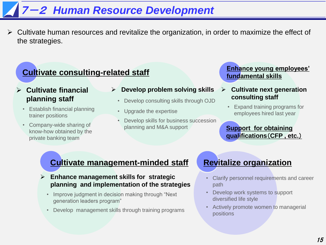# 7-2 *Human Resource Development*

 $\triangleright$  Cultivate human resources and revitalize the organization, in order to maximize the effect of the strategies.

## **Cultivate consulting-related staff**

#### ł **Cultivate financial planning staff**

- Establish financial planning trainer positions
- Company-wide sharing of know-how obtained by the private banking team
- **Develop problem solving skills**
- Develop consulting skills through OJD
- Upgrade the expertise
- Develop skills for business succession planning and M&A support

#### **Enhance young employees' fundamental skills**

- **Cultivate next generation consulting staff**
	- Expand training programs for employees hired last year

**Support for obtaining qualifications**(**CFP , etc.**)

### **Cultivate management-minded staff**

- **Enhance management skills for strategic planning and implementation of the strategies**
	- Improve judgment in decision making through "Next generation leaders program"
	- Develop management skills through training programs

### **Revitalize organization**

- Clarify personnel requirements and career path
- Develop work systems to support diversified life style
- Actively promote women to managerial positions